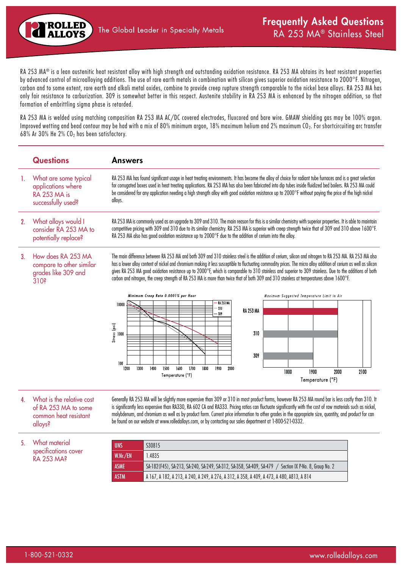RA 253 MA® is a lean austenitic heat resistant alloy with high strength and outstanding oxidation resistance. RA 253 MA obtains its heat resistant properties by advanced control of microalloying additions. The use of rare earth metals in combination with silicon gives superior oxidation resistance to 2000°F. Nitrogen, carbon and to some extent, rare earth and alkali metal oxides, combine to provide creep rupture strength comparable to the nickel base alloys. RA 253 MA has only fair resistance to carburization. 309 is somewhat better in this respect. Austenite stability in RA 253 MA is enhanced by the nitrogen addition, so that formation of embrittling sigma phase is retarded.

RA 253 MA is welded using matching composition RA 253 MA AC/DC covered electrodes, fluxcored and bare wire. GMAW shielding gas may be 100% argon. Improved wetting and bead contour may be had with a mix of 80% minimum argon, 18% maximum helium and 2% maximum CO<sub>2</sub>. For shortcircuiting arc transfer 68% Ar 30% He  $2%$  CO<sub>2</sub> has been satisfactory.

|     | <b>Questions</b>                                                                          | <b>Answers</b>                                                                                                                                                                                                                                                                                                                                                                                                                                                                                                                                                                                                                                                                                                             |  |  |  |  |  |  |  |  |  |
|-----|-------------------------------------------------------------------------------------------|----------------------------------------------------------------------------------------------------------------------------------------------------------------------------------------------------------------------------------------------------------------------------------------------------------------------------------------------------------------------------------------------------------------------------------------------------------------------------------------------------------------------------------------------------------------------------------------------------------------------------------------------------------------------------------------------------------------------------|--|--|--|--|--|--|--|--|--|
| -1. | What are some typical<br>applications where<br>RA 253 MA is<br>successfully used?         | RA 253 MA has found significant usage in heat treating environments. It has become the alloy of choice for radiant tube furnaces and is a great selection<br>for corrugated boxes used in heat treating applications. RA 253 MA has also been fabricated into dip tubes inside fluidized bed boilers. RA 253 MA could<br>be considered for any application needing a high strength alloy with good oxidation resistance up to 2000°F without paying the price of the high nickel<br>alloys.                                                                                                                                                                                                                                |  |  |  |  |  |  |  |  |  |
| 2.  | What alloys would I<br>consider RA 253 MA to<br>potentially replace?                      | RA 253 MA is commonly used as an upgrade to 309 and 310. The main reason for this is a similar chemistry with superior properties. It is able to maintain<br>competitive pricing with 309 and 310 due to its similar chemistry. RA 253 MA is superior with creep strength twice that of 309 and 310 above 1600°F.<br>RA 253 MA also has good oxidation resistance up to 2000°F due to the addition of cerium into the alloy.                                                                                                                                                                                                                                                                                               |  |  |  |  |  |  |  |  |  |
| 3.  | How does RA 253 MA<br>compare to other similar<br>grades like 309 and<br>310 <sup>s</sup> | The main difference between RA 253 MA and both 309 and 310 stainless steel is the addition of cerium, silicon and nitrogen to RA 253 MA. RA 253 MA also<br>has a lower alloy content of nickel and chromium making it less susceptible to fluctuating commodity prices. The micro alloy addition of cerium as well as silicon<br>gives RA 253 MA good oxidation resistance up to 2000°F, which is comparable to 310 stainless and superior to 309 stainless. Due to the additions of both<br>carbon and nitrogen, the creep strength of RA 253 MA is more than twice that of both 309 and 310 stainless at temperatures above 1600°F.<br>Minimum Creep Rate 0.0001% per Hour<br>Maximum Suggested Temperature Limit in Air |  |  |  |  |  |  |  |  |  |
|     |                                                                                           | <b>RA 253 MA</b><br>10000<br>310<br><b>RA 253 MA</b><br>- 309                                                                                                                                                                                                                                                                                                                                                                                                                                                                                                                                                                                                                                                              |  |  |  |  |  |  |  |  |  |
|     |                                                                                           | Stress (psi)<br>310<br>1000                                                                                                                                                                                                                                                                                                                                                                                                                                                                                                                                                                                                                                                                                                |  |  |  |  |  |  |  |  |  |
|     |                                                                                           | 309<br>100                                                                                                                                                                                                                                                                                                                                                                                                                                                                                                                                                                                                                                                                                                                 |  |  |  |  |  |  |  |  |  |
|     |                                                                                           | 1300<br>1500<br>1700<br>1800<br>1900<br>1200<br>1400<br>1600<br>2000<br>1800<br>1900<br>2000<br>2100<br>Temperature (°F)                                                                                                                                                                                                                                                                                                                                                                                                                                                                                                                                                                                                   |  |  |  |  |  |  |  |  |  |
|     |                                                                                           | Temperature (°F)                                                                                                                                                                                                                                                                                                                                                                                                                                                                                                                                                                                                                                                                                                           |  |  |  |  |  |  |  |  |  |

4. What is the relative cost of RA 253 MA to some common heat resistant alloys?

Generally RA 253 MA will be slightly more expensive than 309 or 310 in most product forms, however RA 253 MA round bar is less costly than 310. It is significantly less expensive than RA330, RA 602 CA and RA333. Pricing ratios can fluctuate significantly with the cost of raw materials such as nickel, molybdenum, and chromium as well as by product form. Current price information to other grades in the appropriate size, quantity, and product for can be found on our website at www.rolledalloys.com, or by contacting our sales department at 1-800-521-0332.

5. What material specifications cover RA 253 MA?

| <b>UNS</b>  | S30815                                                                                                |
|-------------|-------------------------------------------------------------------------------------------------------|
| W.Nr./EN    | 1.4835                                                                                                |
| <b>ASME</b> | SA-182(F45), SA-213, SA-240, SA-249, SA-312, SA-358, SA-409, SA-479 / Section IX P-No. 8, Group No. 2 |
| <b>ASTM</b> | A 167, A 182, A 213, A 240, A 249, A 276, A 312, A 358, A 409, A 473, A 480, A 813, A 814             |